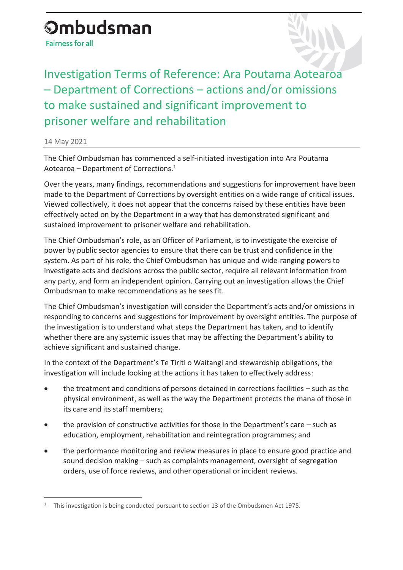## **Ombudsman Fairness for all**

Investigation Terms of Reference: Ara Poutama Aotearoa – Department of Corrections – actions and/or omissions to make sustained and significant improvement to prisoner welfare and rehabilitation

14 May 2021

 $\overline{a}$ 

The Chief Ombudsman has commenced a self-initiated investigation into Ara Poutama Aotearoa – Department of Corrections.<sup>1</sup>

Over the years, many findings, recommendations and suggestions for improvement have been made to the Department of Corrections by oversight entities on a wide range of critical issues. Viewed collectively, it does not appear that the concerns raised by these entities have been effectively acted on by the Department in a way that has demonstrated significant and sustained improvement to prisoner welfare and rehabilitation.

The Chief Ombudsman's role, as an Officer of Parliament, is to investigate the exercise of power by public sector agencies to ensure that there can be trust and confidence in the system. As part of his role, the Chief Ombudsman has unique and wide-ranging powers to investigate acts and decisions across the public sector, require all relevant information from any party, and form an independent opinion. Carrying out an investigation allows the Chief Ombudsman to make recommendations as he sees fit.

The Chief Ombudsman's investigation will consider the Department's acts and/or omissions in responding to concerns and suggestions for improvement by oversight entities. The purpose of the investigation is to understand what steps the Department has taken, and to identify whether there are any systemic issues that may be affecting the Department's ability to achieve significant and sustained change.

In the context of the Department's Te Tiriti o Waitangi and stewardship obligations, the investigation will include looking at the actions it has taken to effectively address:

- the treatment and conditions of persons detained in corrections facilities such as the physical environment, as well as the way the Department protects the mana of those in its care and its staff members;
- the provision of constructive activities for those in the Department's care such as education, employment, rehabilitation and reintegration programmes; and
- the performance monitoring and review measures in place to ensure good practice and sound decision making – such as complaints management, oversight of segregation orders, use of force reviews, and other operational or incident reviews.

<sup>&</sup>lt;sup>1</sup> This investigation is being conducted pursuant to section 13 of the Ombudsmen Act 1975.